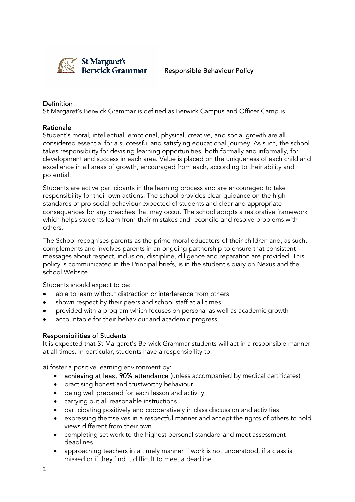

### Responsible Behaviour Policy

# Definition

St Margaret's Berwick Grammar is defined as Berwick Campus and Officer Campus.

#### Rationale

Student's moral, intellectual, emotional, physical, creative, and social growth are all considered essential for a successful and satisfying educational journey. As such, the school takes responsibility for devising learning opportunities, both formally and informally, for development and success in each area. Value is placed on the uniqueness of each child and excellence in all areas of growth, encouraged from each, according to their ability and potential.

Students are active participants in the learning process and are encouraged to take responsibility for their own actions. The school provides clear guidance on the high standards of pro-social behaviour expected of students and clear and appropriate consequences for any breaches that may occur. The school adopts a restorative framework which helps students learn from their mistakes and reconcile and resolve problems with others.

The School recognises parents as the prime moral educators of their children and, as such, complements and involves parents in an ongoing partnership to ensure that consistent messages about respect, inclusion, discipline, diligence and reparation are provided. This policy is communicated in the Principal briefs, is in the student's diary on Nexus and the school Website.

Students should expect to be:

- able to learn without distraction or interference from others
- shown respect by their peers and school staff at all times
- provided with a program which focuses on personal as well as academic growth
- accountable for their behaviour and academic progress.

#### Responsibilities of Students

It is expected that St Margaret's Berwick Grammar students will act in a responsible manner at all times. In particular, students have a responsibility to:

a) foster a positive learning environment by:

- achieving at least 90% attendance (unless accompanied by medical certificates)
- practising honest and trustworthy behaviour
- being well prepared for each lesson and activity
- carrying out all reasonable instructions
- participating positively and cooperatively in class discussion and activities
- expressing themselves in a respectful manner and accept the rights of others to hold views different from their own
- completing set work to the highest personal standard and meet assessment deadlines
- approaching teachers in a timely manner if work is not understood, if a class is missed or if they find it difficult to meet a deadline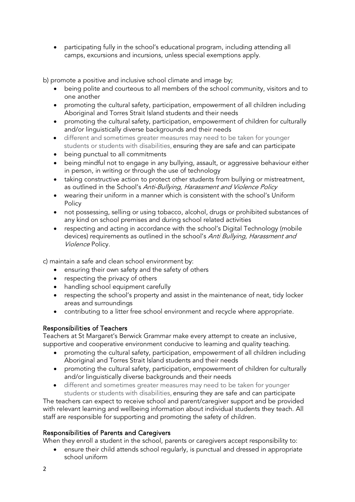• participating fully in the school's educational program, including attending all camps, excursions and incursions, unless special exemptions apply.

b) promote a positive and inclusive school climate and image by;

- being polite and courteous to all members of the school community, visitors and to one another
- promoting the cultural safety, participation, empowerment of all children including Aboriginal and Torres Strait Island students and their needs
- promoting the cultural safety, participation, empowerment of children for culturally and/or linguistically diverse backgrounds and their needs
- different and sometimes greater measures may need to be taken for younger students or students with disabilities, ensuring they are safe and can participate
- being punctual to all commitments
- being mindful not to engage in any bullying, assault, or aggressive behaviour either in person, in writing or through the use of technology
- taking constructive action to protect other students from bullying or mistreatment, as outlined in the School's Anti-Bullying, Harassment and Violence Policy
- wearing their uniform in a manner which is consistent with the school's Uniform **Policy**
- not possessing, selling or using tobacco, alcohol, drugs or prohibited substances of any kind on school premises and during school related activities
- respecting and acting in accordance with the school's Digital Technology (mobile devices) requirements as outlined in the school's Anti Bullying, Harassment and Violence Policy.

c) maintain a safe and clean school environment by:

- ensuring their own safety and the safety of others
- respecting the privacy of others
- handling school equipment carefully
- respecting the school's property and assist in the maintenance of neat, tidy locker areas and surroundings
- contributing to a litter free school environment and recycle where appropriate.

# Responsibilities of Teachers

Teachers at St Margaret's Berwick Grammar make every attempt to create an inclusive, supportive and cooperative environment conducive to learning and quality teaching.

- promoting the cultural safety, participation, empowerment of all children including Aboriginal and Torres Strait Island students and their needs
- promoting the cultural safety, participation, empowerment of children for culturally and/or linguistically diverse backgrounds and their needs
- different and sometimes greater measures may need to be taken for younger students or students with disabilities, ensuring they are safe and can participate

The teachers can expect to receive school and parent/caregiver support and be provided with relevant learning and wellbeing information about individual students they teach. All staff are responsible for supporting and promoting the safety of children.

# Responsibilities of Parents and Caregivers

When they enroll a student in the school, parents or caregivers accept responsibility to:

• ensure their child attends school regularly, is punctual and dressed in appropriate school uniform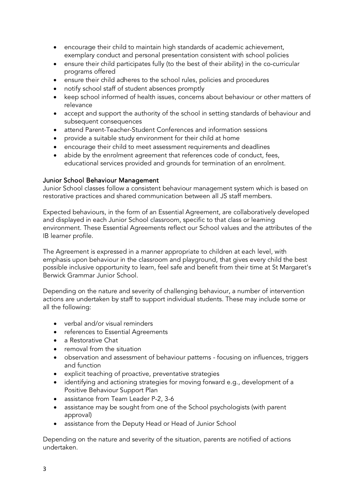- encourage their child to maintain high standards of academic achievement, exemplary conduct and personal presentation consistent with school policies
- ensure their child participates fully (to the best of their ability) in the co-curricular programs offered
- ensure their child adheres to the school rules, policies and procedures
- notify school staff of student absences promptly
- keep school informed of health issues, concerns about behaviour or other matters of relevance
- accept and support the authority of the school in setting standards of behaviour and subsequent consequences
- attend Parent-Teacher-Student Conferences and information sessions
- provide a suitable study environment for their child at home
- encourage their child to meet assessment requirements and deadlines
- abide by the enrolment agreement that references code of conduct, fees, educational services provided and grounds for termination of an enrolment.

# Junior School Behaviour Management

Junior School classes follow a consistent behaviour management system which is based on restorative practices and shared communication between all JS staff members.

Expected behaviours, in the form of an Essential Agreement, are collaboratively developed and displayed in each Junior School classroom, specific to that class or learning environment. These Essential Agreements reflect our School values and the attributes of the IB learner profile.

The Agreement is expressed in a manner appropriate to children at each level, with emphasis upon behaviour in the classroom and playground, that gives every child the best possible inclusive opportunity to learn, feel safe and benefit from their time at St Margaret's Berwick Grammar Junior School.

Depending on the nature and severity of challenging behaviour, a number of intervention actions are undertaken by staff to support individual students. These may include some or all the following:

- verbal and/or visual reminders
- references to Essential Agreements
- a Restorative Chat
- removal from the situation
- observation and assessment of behaviour patterns focusing on influences, triggers and function
- explicit teaching of proactive, preventative strategies
- identifying and actioning strategies for moving forward e.g., development of a Positive Behaviour Support Plan
- assistance from Team Leader P-2, 3-6
- assistance may be sought from one of the School psychologists (with parent approval)
- assistance from the Deputy Head or Head of Junior School

Depending on the nature and severity of the situation, parents are notified of actions undertaken.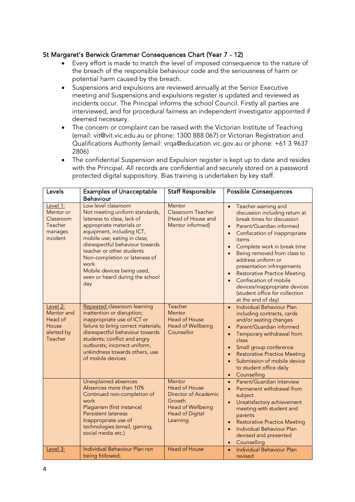# St Margaret's Berwick Grammar Consequences Chart (Year 7 - 12)

- Every effort is made to match the level of imposed consequence to the nature of the breach of the responsible behaviour code and the seriousness of harm or potential harm caused by the breach.
- Suspensions and expulsions are reviewed annually at the Senior Executive meeting and Suspensions and expulsions register is updated and reviewed as incidents occur. The Principal informs the school Council. Firstly all parties are interviewed, and for procedural fairness an independent investigator appointed if deemed necessary.
- The concern or complaint can be raised with the Victorian Institute of Teaching (email: vit@vit.vic.edu.au or phone: 1300 888 067) or Victorian Registration and Qualifications Authority (email: vrqa@education.vic.gov.au or phone: +61 3 9637 2806)
- The confidential Suspension and Expulsion register is kept up to date and resides with the Principal. All records are confidential and securely stored on a password protected digital suppository. Bias training is undertaken by key staff.

| Levels                                                               | <b>Examples of Unacceptable</b>                                                                                                                                                                                                                                                                                                                               | <b>Staff Responsible</b>                                                                                                           | <b>Possible Consequences</b>                                                                                                                                                                                                                                                                                                                                                                                                                                                                                        |
|----------------------------------------------------------------------|---------------------------------------------------------------------------------------------------------------------------------------------------------------------------------------------------------------------------------------------------------------------------------------------------------------------------------------------------------------|------------------------------------------------------------------------------------------------------------------------------------|---------------------------------------------------------------------------------------------------------------------------------------------------------------------------------------------------------------------------------------------------------------------------------------------------------------------------------------------------------------------------------------------------------------------------------------------------------------------------------------------------------------------|
|                                                                      | Behaviour                                                                                                                                                                                                                                                                                                                                                     |                                                                                                                                    |                                                                                                                                                                                                                                                                                                                                                                                                                                                                                                                     |
| Level 1:<br>Mentor or<br>Classroom<br>Teacher<br>manages<br>incident | Low level classroom<br>Not meeting uniform standards,<br>lateness to class, lack of<br>appropriate materials or<br>equipment, including ICT,<br>mobile use; eating in class;<br>disrespectful behaviour towards<br>teacher or other students<br>Non-completion or lateness of<br>work<br>Mobile devices being used,<br>seen or heard during the school<br>day | Mentor<br>Classroom Teacher<br>(Head of House and<br>Mentor informed)                                                              | Teacher warning and<br>$\bullet$<br>discussion including return at<br>break times for discussion<br>Parent/Guardian informed<br>$\bullet$<br>Confiscation of inappropriate<br>$\bullet$<br>items<br>Complete work in break time<br>$\bullet$<br>Being removed from class to<br>address uniform or<br>presentation infringements<br><b>Restorative Practice Meeting</b><br>$\bullet$<br>Confiscation of mobile<br>$\bullet$<br>devices/inappropriate devices<br>(student office for collection<br>at the end of day) |
| Level 2:<br>Mentor and<br>Head of<br>House<br>alerted by<br>Teacher  | Repeated classroom learning<br>inattention or disruption;<br>inappropriate use of ICT or<br>failure to bring correct materials;<br>disrespectful behaviour towards<br>students; conflict and angry<br>outbursts; incorrect uniform,<br>unkindness towards others, use<br>of mobile devices                                                                    | Teacher<br>Mentor<br>Head of House<br><b>Head of Wellbeing</b><br>Counsellor                                                       | <b>Individual Behaviour Plan</b><br>$\bullet$<br>including contracts, cards<br>and/or seating changes<br>Parent/Guardian informed<br>$\bullet$<br>Temporary withdrawal from<br>$\bullet$<br>class<br>Small group conference<br>$\bullet$<br><b>Restorative Practice Meeting</b><br>$\bullet$<br>Submission of mobile device<br>$\bullet$<br>to student office daily<br>Counselling<br>$\bullet$                                                                                                                     |
|                                                                      | Unexplained absences<br>Absences more than 10%<br>Continued non-completion of<br>work<br>Plagiarism (first instance)<br><b>Persistent lateness</b><br>Inappropriate use of<br>technologies (email, gaming,<br>social media etc.)                                                                                                                              | Mentor<br><b>Head of House</b><br>Director of Academic<br>Growth<br><b>Head of Wellbeing</b><br><b>Head of Digital</b><br>Learning | Parent/Guardian Interview<br>$\bullet$<br>Permanent withdrawal from<br>$\bullet$<br>subject<br>Unsatisfactory achievement<br>$\bullet$<br>meeting with student and<br>parents<br><b>Restorative Practice Meeting</b><br>$\bullet$<br><b>Individual Behaviour Plan</b><br>$\bullet$<br>devised and presented<br>Counselling<br>$\bullet$                                                                                                                                                                             |
| Level 3:                                                             | Individual Behaviour Plan not<br>being followed;                                                                                                                                                                                                                                                                                                              | <b>Head of House</b>                                                                                                               | <b>Individual Behaviour Plan</b><br>$\bullet$<br>revised                                                                                                                                                                                                                                                                                                                                                                                                                                                            |